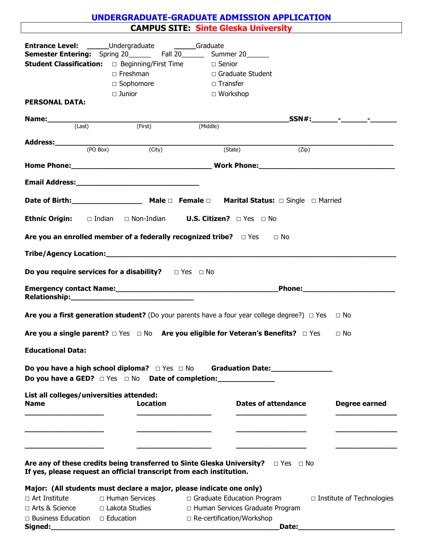## **UNDERGRADUATE-GRADUATE ADMISSION APPLICATION CAMPUS SITE: Sinte Gleska University**

|                                            | <b>Entrance Level:</b> _______ Undergraduate __________Graduate                                                                                                                                                                           |                                                                                                                                                                                                                               |       |                                                                                                                                                                                                                                     |
|--------------------------------------------|-------------------------------------------------------------------------------------------------------------------------------------------------------------------------------------------------------------------------------------------|-------------------------------------------------------------------------------------------------------------------------------------------------------------------------------------------------------------------------------|-------|-------------------------------------------------------------------------------------------------------------------------------------------------------------------------------------------------------------------------------------|
|                                            | <b>Semester Entering:</b> Spring 20________ Fall 20________ Summer 20_______                                                                                                                                                              |                                                                                                                                                                                                                               |       |                                                                                                                                                                                                                                     |
|                                            | <b>Student Classification:</b> $\Box$ Beginning/First Time $\Box$ Senior                                                                                                                                                                  |                                                                                                                                                                                                                               |       |                                                                                                                                                                                                                                     |
|                                            | $\Box$ Freshman                                                                                                                                                                                                                           | □ Graduate Student                                                                                                                                                                                                            |       |                                                                                                                                                                                                                                     |
|                                            | $\Box$ Sophomore                                                                                                                                                                                                                          | □ Transfer                                                                                                                                                                                                                    |       |                                                                                                                                                                                                                                     |
|                                            | $\Box$ Junior                                                                                                                                                                                                                             | $\Box$ Workshop                                                                                                                                                                                                               |       |                                                                                                                                                                                                                                     |
| <b>PERSONAL DATA:</b>                      |                                                                                                                                                                                                                                           |                                                                                                                                                                                                                               |       |                                                                                                                                                                                                                                     |
|                                            |                                                                                                                                                                                                                                           |                                                                                                                                                                                                                               |       |                                                                                                                                                                                                                                     |
| (Last)                                     | Name: We have a state of the state of the state of the state of the state of the state of the state of the state of the state of the state of the state of the state of the state of the state of the state of the state of th<br>(First) | (Middle)                                                                                                                                                                                                                      |       | $SSN#$ : $ -$                                                                                                                                                                                                                       |
|                                            |                                                                                                                                                                                                                                           |                                                                                                                                                                                                                               |       |                                                                                                                                                                                                                                     |
|                                            | <b>Address:</b> (PO Box) (City)                                                                                                                                                                                                           | $\overline{\text{(State)}}$                                                                                                                                                                                                   | (Zip) |                                                                                                                                                                                                                                     |
|                                            |                                                                                                                                                                                                                                           |                                                                                                                                                                                                                               |       |                                                                                                                                                                                                                                     |
|                                            |                                                                                                                                                                                                                                           |                                                                                                                                                                                                                               |       |                                                                                                                                                                                                                                     |
|                                            |                                                                                                                                                                                                                                           |                                                                                                                                                                                                                               |       |                                                                                                                                                                                                                                     |
|                                            |                                                                                                                                                                                                                                           |                                                                                                                                                                                                                               |       |                                                                                                                                                                                                                                     |
|                                            |                                                                                                                                                                                                                                           |                                                                                                                                                                                                                               |       |                                                                                                                                                                                                                                     |
|                                            |                                                                                                                                                                                                                                           | Ethnic Origin: □ Indian □ Non-Indian U.S. Citizen? □ Yes □ No                                                                                                                                                                 |       |                                                                                                                                                                                                                                     |
|                                            |                                                                                                                                                                                                                                           |                                                                                                                                                                                                                               |       |                                                                                                                                                                                                                                     |
|                                            |                                                                                                                                                                                                                                           | Are you an enrolled member of a federally recognized tribe? $\square$ Yes $\square$ No                                                                                                                                        |       |                                                                                                                                                                                                                                     |
|                                            |                                                                                                                                                                                                                                           |                                                                                                                                                                                                                               |       |                                                                                                                                                                                                                                     |
|                                            |                                                                                                                                                                                                                                           |                                                                                                                                                                                                                               |       |                                                                                                                                                                                                                                     |
|                                            | <b>Do you require services for a disability?</b> $\Box$ Yes $\Box$ No                                                                                                                                                                     |                                                                                                                                                                                                                               |       |                                                                                                                                                                                                                                     |
|                                            |                                                                                                                                                                                                                                           | Emergency contact Name: Name and the contract of the contract of the contract of the contract of the contract of the contract of the contract of the contract of the contract of the contract of the contract of the contract |       | <b>Phone:</b> The contract of the contract of the contract of the contract of the contract of the contract of the contract of the contract of the contract of the contract of the contract of the contract of the contract of the c |
|                                            | Relationship: Management of the Relationship:                                                                                                                                                                                             |                                                                                                                                                                                                                               |       |                                                                                                                                                                                                                                     |
|                                            |                                                                                                                                                                                                                                           | <b>Are you a first generation student?</b> (Do your parents have a four year college degree?) $\Box$ Yes $\Box$ No                                                                                                            |       |                                                                                                                                                                                                                                     |
|                                            |                                                                                                                                                                                                                                           | Are you a single parent? $\Box$ Yes $\Box$ No Are you eligible for Veteran's Benefits? $\Box$ Yes                                                                                                                             |       | $\Box$ No                                                                                                                                                                                                                           |
| <b>Educational Data:</b>                   |                                                                                                                                                                                                                                           |                                                                                                                                                                                                                               |       |                                                                                                                                                                                                                                     |
|                                            | <b>Do you have a high school diploma?</b> $\Box$ Yes $\Box$ No                                                                                                                                                                            | Graduation Date: Marian Marian Maria                                                                                                                                                                                          |       |                                                                                                                                                                                                                                     |
|                                            |                                                                                                                                                                                                                                           | Do you have a GED? $\Box$ Yes $\Box$ No Date of completion:                                                                                                                                                                   |       |                                                                                                                                                                                                                                     |
|                                            |                                                                                                                                                                                                                                           |                                                                                                                                                                                                                               |       |                                                                                                                                                                                                                                     |
| List all colleges/universities attended:   |                                                                                                                                                                                                                                           |                                                                                                                                                                                                                               |       |                                                                                                                                                                                                                                     |
| <b>Name</b>                                | Location                                                                                                                                                                                                                                  | <b>Dates of attendance</b>                                                                                                                                                                                                    |       | Degree earned                                                                                                                                                                                                                       |
|                                            |                                                                                                                                                                                                                                           |                                                                                                                                                                                                                               |       |                                                                                                                                                                                                                                     |
|                                            |                                                                                                                                                                                                                                           |                                                                                                                                                                                                                               |       |                                                                                                                                                                                                                                     |
|                                            |                                                                                                                                                                                                                                           |                                                                                                                                                                                                                               |       |                                                                                                                                                                                                                                     |
|                                            |                                                                                                                                                                                                                                           |                                                                                                                                                                                                                               |       |                                                                                                                                                                                                                                     |
|                                            |                                                                                                                                                                                                                                           | Are any of these credits being transferred to Sinte Gleska University? $\square$ Yes $\square$ No                                                                                                                             |       |                                                                                                                                                                                                                                     |
|                                            | If yes, please request an official transcript from each institution.                                                                                                                                                                      |                                                                                                                                                                                                                               |       |                                                                                                                                                                                                                                     |
|                                            | Major: (All students must declare a major, please indicate one only)                                                                                                                                                                      |                                                                                                                                                                                                                               |       |                                                                                                                                                                                                                                     |
| $\Box$ Art Institute                       | □ Human Services                                                                                                                                                                                                                          | $\Box$ Graduate Education Program                                                                                                                                                                                             |       | $\Box$ Institute of Technologies                                                                                                                                                                                                    |
| □ Arts & Science                           | $\Box$ Lakota Studies                                                                                                                                                                                                                     | □ Human Services Graduate Program                                                                                                                                                                                             |       |                                                                                                                                                                                                                                     |
| $\Box$ Business Education $\Box$ Education |                                                                                                                                                                                                                                           | □ Re-certification/Workshop                                                                                                                                                                                                   |       |                                                                                                                                                                                                                                     |
|                                            |                                                                                                                                                                                                                                           |                                                                                                                                                                                                                               |       |                                                                                                                                                                                                                                     |